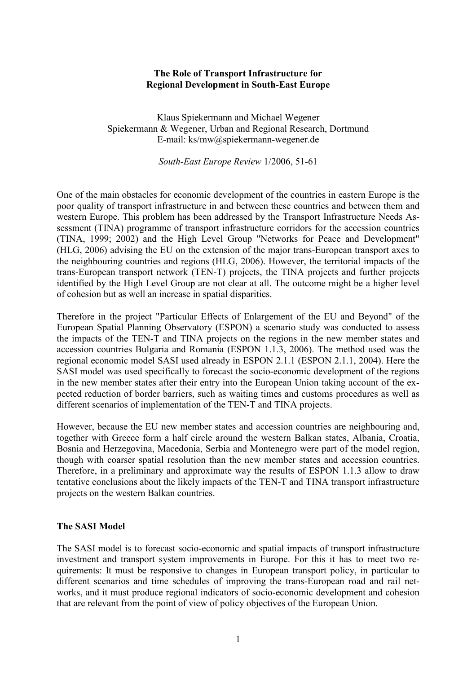### **The Role of Transport Infrastructure for Regional Development in South-East Europe**

Klaus Spiekermann and Michael Wegener Spiekermann & Wegener, Urban and Regional Research, Dortmund E-mail: ks/mw@spiekermann-wegener.de

*South-East Europe Review* 1/2006, 51-61

One of the main obstacles for economic development of the countries in eastern Europe is the poor quality of transport infrastructure in and between these countries and between them and western Europe. This problem has been addressed by the Transport Infrastructure Needs Assessment (TINA) programme of transport infrastructure corridors for the accession countries (TINA, 1999; 2002) and the High Level Group "Networks for Peace and Development" (HLG, 2006) advising the EU on the extension of the major trans-European transport axes to the neighbouring countries and regions (HLG, 2006). However, the territorial impacts of the trans-European transport network (TEN-T) projects, the TINA projects and further projects identified by the High Level Group are not clear at all. The outcome might be a higher level of cohesion but as well an increase in spatial disparities.

Therefore in the project "Particular Effects of Enlargement of the EU and Beyond" of the European Spatial Planning Observatory (ESPON) a scenario study was conducted to assess the impacts of the TEN-T and TINA projects on the regions in the new member states and accession countries Bulgaria and Romania (ESPON 1.1.3, 2006). The method used was the regional economic model SASI used already in ESPON 2.1.1 (ESPON 2.1.1, 2004). Here the SASI model was used specifically to forecast the socio-economic development of the regions in the new member states after their entry into the European Union taking account of the expected reduction of border barriers, such as waiting times and customs procedures as well as different scenarios of implementation of the TEN-T and TINA projects.

However, because the EU new member states and accession countries are neighbouring and, together with Greece form a half circle around the western Balkan states, Albania, Croatia, Bosnia and Herzegovina, Macedonia, Serbia and Montenegro were part of the model region, though with coarser spatial resolution than the new member states and accession countries. Therefore, in a preliminary and approximate way the results of ESPON 1.1.3 allow to draw tentative conclusions about the likely impacts of the TEN-T and TINA transport infrastructure projects on the western Balkan countries.

### **The SASI Model**

The SASI model is to forecast socio-economic and spatial impacts of transport infrastructure investment and transport system improvements in Europe. For this it has to meet two requirements: It must be responsive to changes in European transport policy, in particular to different scenarios and time schedules of improving the trans-European road and rail networks, and it must produce regional indicators of socio-economic development and cohesion that are relevant from the point of view of policy objectives of the European Union.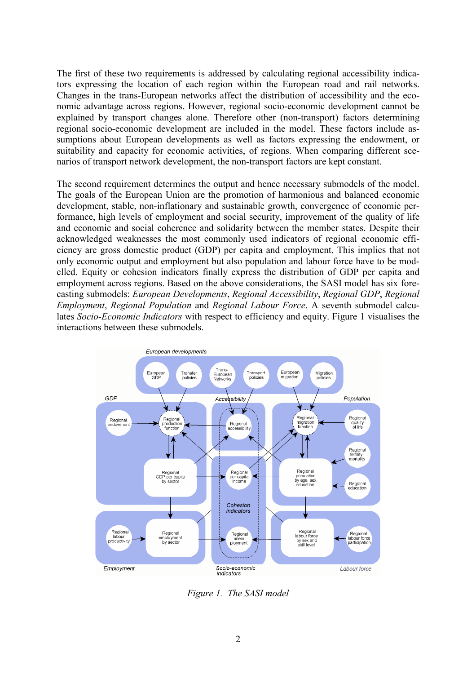The first of these two requirements is addressed by calculating regional accessibility indicators expressing the location of each region within the European road and rail networks. Changes in the trans-European networks affect the distribution of accessibility and the economic advantage across regions. However, regional socio-economic development cannot be explained by transport changes alone. Therefore other (non-transport) factors determining regional socio-economic development are included in the model. These factors include assumptions about European developments as well as factors expressing the endowment, or suitability and capacity for economic activities, of regions. When comparing different scenarios of transport network development, the non-transport factors are kept constant.

The second requirement determines the output and hence necessary submodels of the model. The goals of the European Union are the promotion of harmonious and balanced economic development, stable, non-inflationary and sustainable growth, convergence of economic performance, high levels of employment and social security, improvement of the quality of life and economic and social coherence and solidarity between the member states. Despite their acknowledged weaknesses the most commonly used indicators of regional economic efficiency are gross domestic product (GDP) per capita and employment. This implies that not only economic output and employment but also population and labour force have to be modelled. Equity or cohesion indicators finally express the distribution of GDP per capita and employment across regions. Based on the above considerations, the SASI model has six forecasting submodels: *European Developments*, *Regional Accessibility*, *Regional GDP*, *Regional Employment*, *Regional Population* and *Regional Labour Force*. A seventh submodel calculates *Socio-Economic Indicators* with respect to efficiency and equity. Figure 1 visualises the interactions between these submodels.



*Figure 1. The SASI model*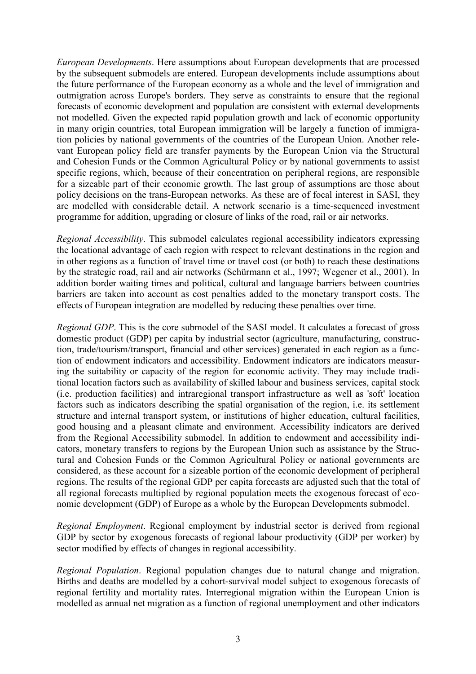*European Developments*. Here assumptions about European developments that are processed by the subsequent submodels are entered. European developments include assumptions about the future performance of the European economy as a whole and the level of immigration and outmigration across Europe's borders. They serve as constraints to ensure that the regional forecasts of economic development and population are consistent with external developments not modelled. Given the expected rapid population growth and lack of economic opportunity in many origin countries, total European immigration will be largely a function of immigration policies by national governments of the countries of the European Union. Another relevant European policy field are transfer payments by the European Union via the Structural and Cohesion Funds or the Common Agricultural Policy or by national governments to assist specific regions, which, because of their concentration on peripheral regions, are responsible for a sizeable part of their economic growth. The last group of assumptions are those about policy decisions on the trans-European networks. As these are of focal interest in SASI, they are modelled with considerable detail. A network scenario is a time-sequenced investment programme for addition, upgrading or closure of links of the road, rail or air networks.

*Regional Accessibility*. This submodel calculates regional accessibility indicators expressing the locational advantage of each region with respect to relevant destinations in the region and in other regions as a function of travel time or travel cost (or both) to reach these destinations by the strategic road, rail and air networks (Schürmann et al., 1997; Wegener et al., 2001). In addition border waiting times and political, cultural and language barriers between countries barriers are taken into account as cost penalties added to the monetary transport costs. The effects of European integration are modelled by reducing these penalties over time.

*Regional GDP*. This is the core submodel of the SASI model. It calculates a forecast of gross domestic product (GDP) per capita by industrial sector (agriculture, manufacturing, construction, trade/tourism/transport, financial and other services) generated in each region as a function of endowment indicators and accessibility. Endowment indicators are indicators measuring the suitability or capacity of the region for economic activity. They may include traditional location factors such as availability of skilled labour and business services, capital stock (i.e. production facilities) and intraregional transport infrastructure as well as 'soft' location factors such as indicators describing the spatial organisation of the region, i.e. its settlement structure and internal transport system, or institutions of higher education, cultural facilities, good housing and a pleasant climate and environment. Accessibility indicators are derived from the Regional Accessibility submodel. In addition to endowment and accessibility indicators, monetary transfers to regions by the European Union such as assistance by the Structural and Cohesion Funds or the Common Agricultural Policy or national governments are considered, as these account for a sizeable portion of the economic development of peripheral regions. The results of the regional GDP per capita forecasts are adjusted such that the total of all regional forecasts multiplied by regional population meets the exogenous forecast of economic development (GDP) of Europe as a whole by the European Developments submodel.

*Regional Employment*. Regional employment by industrial sector is derived from regional GDP by sector by exogenous forecasts of regional labour productivity (GDP per worker) by sector modified by effects of changes in regional accessibility.

*Regional Population*. Regional population changes due to natural change and migration. Births and deaths are modelled by a cohort-survival model subject to exogenous forecasts of regional fertility and mortality rates. Interregional migration within the European Union is modelled as annual net migration as a function of regional unemployment and other indicators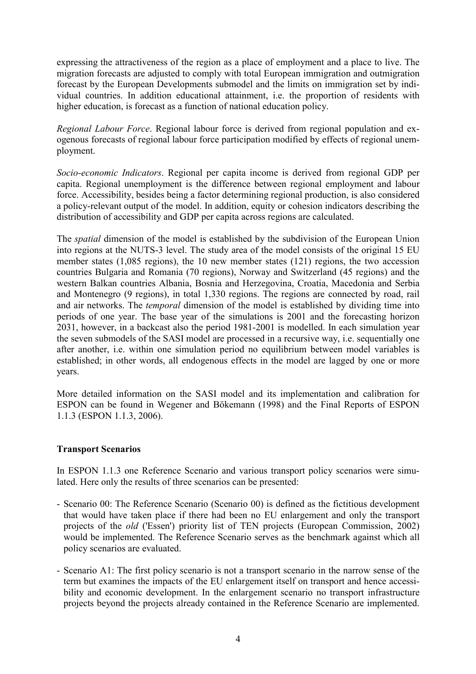expressing the attractiveness of the region as a place of employment and a place to live. The migration forecasts are adjusted to comply with total European immigration and outmigration forecast by the European Developments submodel and the limits on immigration set by individual countries. In addition educational attainment, i.e. the proportion of residents with higher education, is forecast as a function of national education policy.

*Regional Labour Force*. Regional labour force is derived from regional population and exogenous forecasts of regional labour force participation modified by effects of regional unemployment.

*Socio-economic Indicators*. Regional per capita income is derived from regional GDP per capita. Regional unemployment is the difference between regional employment and labour force. Accessibility, besides being a factor determining regional production, is also considered a policy-relevant output of the model. In addition, equity or cohesion indicators describing the distribution of accessibility and GDP per capita across regions are calculated.

The *spatial* dimension of the model is established by the subdivision of the European Union into regions at the NUTS-3 level. The study area of the model consists of the original 15 EU member states (1,085 regions), the 10 new member states (121) regions, the two accession countries Bulgaria and Romania (70 regions), Norway and Switzerland (45 regions) and the western Balkan countries Albania, Bosnia and Herzegovina, Croatia, Macedonia and Serbia and Montenegro (9 regions), in total 1,330 regions. The regions are connected by road, rail and air networks. The *temporal* dimension of the model is established by dividing time into periods of one year. The base year of the simulations is 2001 and the forecasting horizon 2031, however, in a backcast also the period 1981-2001 is modelled. In each simulation year the seven submodels of the SASI model are processed in a recursive way, i.e. sequentially one after another, i.e. within one simulation period no equilibrium between model variables is established; in other words, all endogenous effects in the model are lagged by one or more years.

More detailed information on the SASI model and its implementation and calibration for ESPON can be found in Wegener and Bökemann (1998) and the Final Reports of ESPON 1.1.3 (ESPON 1.1.3, 2006).

# **Transport Scenarios**

In ESPON 1.1.3 one Reference Scenario and various transport policy scenarios were simulated. Here only the results of three scenarios can be presented:

- Scenario 00: The Reference Scenario (Scenario 00) is defined as the fictitious development that would have taken place if there had been no EU enlargement and only the transport projects of the *old* ('Essen') priority list of TEN projects (European Commission, 2002) would be implemented. The Reference Scenario serves as the benchmark against which all policy scenarios are evaluated.
- Scenario A1: The first policy scenario is not a transport scenario in the narrow sense of the term but examines the impacts of the EU enlargement itself on transport and hence accessibility and economic development. In the enlargement scenario no transport infrastructure projects beyond the projects already contained in the Reference Scenario are implemented.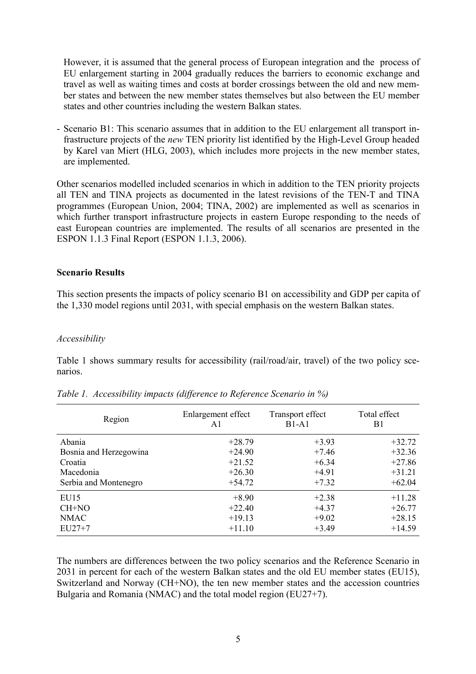However, it is assumed that the general process of European integration and the process of EU enlargement starting in 2004 gradually reduces the barriers to economic exchange and travel as well as waiting times and costs at border crossings between the old and new member states and between the new member states themselves but also between the EU member states and other countries including the western Balkan states.

- Scenario B1: This scenario assumes that in addition to the EU enlargement all transport infrastructure projects of the *new* TEN priority list identified by the High-Level Group headed by Karel van Miert (HLG, 2003), which includes more projects in the new member states, are implemented.

Other scenarios modelled included scenarios in which in addition to the TEN priority projects all TEN and TINA projects as documented in the latest revisions of the TEN-T and TINA programmes (European Union, 2004; TINA, 2002) are implemented as well as scenarios in which further transport infrastructure projects in eastern Europe responding to the needs of east European countries are implemented. The results of all scenarios are presented in the ESPON 1.1.3 Final Report (ESPON 1.1.3, 2006).

### **Scenario Results**

This section presents the impacts of policy scenario B1 on accessibility and GDP per capita of the 1,330 model regions until 2031, with special emphasis on the western Balkan states.

### *Accessibility*

Table 1 shows summary results for accessibility (rail/road/air, travel) of the two policy scenarios.

| Region                 | Enlargement effect<br>A1 | Transport effect<br>$B1-A1$ | Total effect<br>B1 |
|------------------------|--------------------------|-----------------------------|--------------------|
| Abania                 | $+28.79$                 | $+3.93$                     | $+32.72$           |
| Bosnia and Herzegowina | $+24.90$                 | $+7.46$                     | $+32.36$           |
| Croatia                | $+21.52$                 | $+6.34$                     | $+27.86$           |
| Macedonia              | $+26.30$                 | $+4.91$                     | $+31.21$           |
| Serbia and Montenegro  | $+54.72$                 | $+7.32$                     | $+62.04$           |
| EU15                   | $+8.90$                  | $+2.38$                     | $+11.28$           |
| CH+NO                  | $+22.40$                 | $+4.37$                     | $+26.77$           |
| <b>NMAC</b>            | $+19.13$                 | $+9.02$                     | $+28.15$           |
| $EU27+7$               | $+11.10$                 | $+3.49$                     | $+14.59$           |

*Table 1. Accessibility impacts (difference to Reference Scenario in %)*

The numbers are differences between the two policy scenarios and the Reference Scenario in 2031 in percent for each of the western Balkan states and the old EU member states (EU15), Switzerland and Norway (CH+NO), the ten new member states and the accession countries Bulgaria and Romania (NMAC) and the total model region (EU27+7).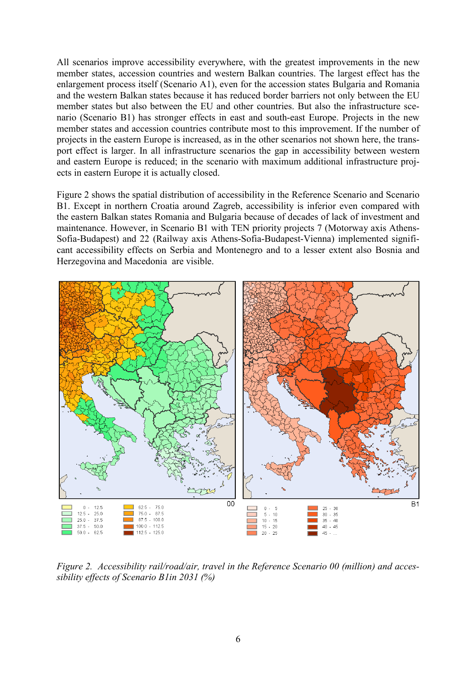All scenarios improve accessibility everywhere, with the greatest improvements in the new member states, accession countries and western Balkan countries. The largest effect has the enlargement process itself (Scenario A1), even for the accession states Bulgaria and Romania and the western Balkan states because it has reduced border barriers not only between the EU member states but also between the EU and other countries. But also the infrastructure scenario (Scenario B1) has stronger effects in east and south-east Europe. Projects in the new member states and accession countries contribute most to this improvement. If the number of projects in the eastern Europe is increased, as in the other scenarios not shown here, the transport effect is larger. In all infrastructure scenarios the gap in accessibility between western and eastern Europe is reduced; in the scenario with maximum additional infrastructure projects in eastern Europe it is actually closed.

Figure 2 shows the spatial distribution of accessibility in the Reference Scenario and Scenario B1. Except in northern Croatia around Zagreb, accessibility is inferior even compared with the eastern Balkan states Romania and Bulgaria because of decades of lack of investment and maintenance. However, in Scenario B1 with TEN priority projects 7 (Motorway axis Athens-Sofia-Budapest) and 22 (Railway axis Athens-Sofia-Budapest-Vienna) implemented significant accessibility effects on Serbia and Montenegro and to a lesser extent also Bosnia and Herzegovina and Macedonia are visible.



*Figure 2. Accessibility rail/road/air, travel in the Reference Scenario 00 (million) and accessibility effects of Scenario B1in 2031 (%)*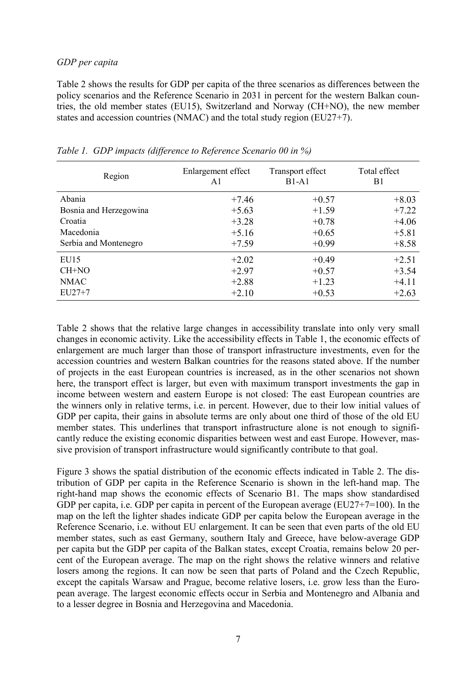### *GDP per capita*

Table 2 shows the results for GDP per capita of the three scenarios as differences between the policy scenarios and the Reference Scenario in 2031 in percent for the western Balkan countries, the old member states (EU15), Switzerland and Norway (CH+NO), the new member states and accession countries (NMAC) and the total study region (EU27+7).

| Region                 | Enlargement effect<br>A1 | Transport effect<br>$B1-A1$ | Total effect<br>B1 |
|------------------------|--------------------------|-----------------------------|--------------------|
| Abania                 | $+7.46$                  | $+0.57$                     | $+8.03$            |
| Bosnia and Herzegowina | $+5.63$                  | $+1.59$                     | $+7.22$            |
| Croatia                | $+3.28$                  | $+0.78$                     | $+4.06$            |
| Macedonia              | $+5.16$                  | $+0.65$                     | $+5.81$            |
| Serbia and Montenegro  | $+7.59$                  | $+0.99$                     | $+8.58$            |
| EU15                   | $+2.02$                  | $+0.49$                     | $+2.51$            |
| CH+NO                  | $+2.97$                  | $+0.57$                     | $+3.54$            |
| <b>NMAC</b>            | $+2.88$                  | $+1.23$                     | $+4.11$            |
| $EU27+7$               | $+2.10$                  | $+0.53$                     | $+2.63$            |

*Table 1. GDP impacts (difference to Reference Scenario 00 in %)*

Table 2 shows that the relative large changes in accessibility translate into only very small changes in economic activity. Like the accessibility effects in Table 1, the economic effects of enlargement are much larger than those of transport infrastructure investments, even for the accession countries and western Balkan countries for the reasons stated above. If the number of projects in the east European countries is increased, as in the other scenarios not shown here, the transport effect is larger, but even with maximum transport investments the gap in income between western and eastern Europe is not closed: The east European countries are the winners only in relative terms, i.e. in percent. However, due to their low initial values of GDP per capita, their gains in absolute terms are only about one third of those of the old EU member states. This underlines that transport infrastructure alone is not enough to significantly reduce the existing economic disparities between west and east Europe. However, massive provision of transport infrastructure would significantly contribute to that goal.

Figure 3 shows the spatial distribution of the economic effects indicated in Table 2. The distribution of GDP per capita in the Reference Scenario is shown in the left-hand map. The right-hand map shows the economic effects of Scenario B1. The maps show standardised GDP per capita, i.e. GDP per capita in percent of the European average (EU27+7=100). In the map on the left the lighter shades indicate GDP per capita below the European average in the Reference Scenario, i.e. without EU enlargement. It can be seen that even parts of the old EU member states, such as east Germany, southern Italy and Greece, have below-average GDP per capita but the GDP per capita of the Balkan states, except Croatia, remains below 20 percent of the European average. The map on the right shows the relative winners and relative losers among the regions. It can now be seen that parts of Poland and the Czech Republic, except the capitals Warsaw and Prague, become relative losers, i.e. grow less than the European average. The largest economic effects occur in Serbia and Montenegro and Albania and to a lesser degree in Bosnia and Herzegovina and Macedonia.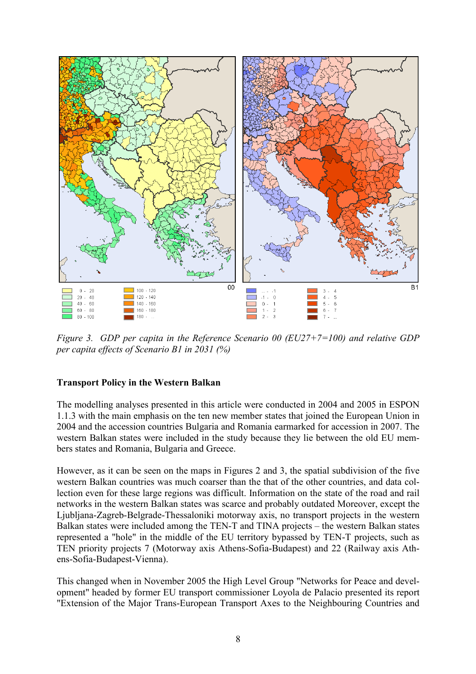

*Figure 3. GDP per capita in the Reference Scenario 00 (EU27+7=100) and relative GDP per capita effects of Scenario B1 in 2031 (%)*

# **Transport Policy in the Western Balkan**

The modelling analyses presented in this article were conducted in 2004 and 2005 in ESPON 1.1.3 with the main emphasis on the ten new member states that joined the European Union in 2004 and the accession countries Bulgaria and Romania earmarked for accession in 2007. The western Balkan states were included in the study because they lie between the old EU members states and Romania, Bulgaria and Greece.

However, as it can be seen on the maps in Figures 2 and 3, the spatial subdivision of the five western Balkan countries was much coarser than the that of the other countries, and data collection even for these large regions was difficult. Information on the state of the road and rail networks in the western Balkan states was scarce and probably outdated Moreover, except the Ljubljana-Zagreb-Belgrade-Thessaloniki motorway axis, no transport projects in the western Balkan states were included among the TEN-T and TINA projects – the western Balkan states represented a "hole" in the middle of the EU territory bypassed by TEN-T projects, such as TEN priority projects 7 (Motorway axis Athens-Sofia-Budapest) and 22 (Railway axis Athens-Sofia-Budapest-Vienna).

This changed when in November 2005 the High Level Group "Networks for Peace and development" headed by former EU transport commissioner Loyola de Palacio presented its report "Extension of the Major Trans-European Transport Axes to the Neighbouring Countries and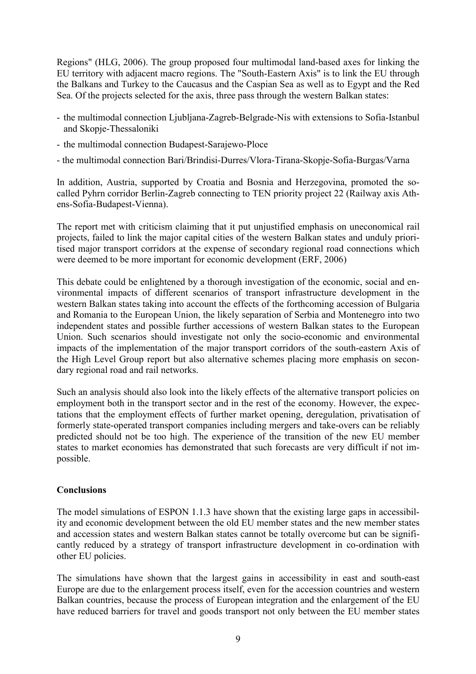Regions" (HLG, 2006). The group proposed four multimodal land-based axes for linking the EU territory with adjacent macro regions. The "South-Eastern Axis" is to link the EU through the Balkans and Turkey to the Caucasus and the Caspian Sea as well as to Egypt and the Red Sea. Of the projects selected for the axis, three pass through the western Balkan states:

- the multimodal connection Ljubljana-Zagreb-Belgrade-Nis with extensions to Sofia-Istanbul and Skopje-Thessaloniki
- the multimodal connection Budapest-Sarajewo-Ploce
- the multimodal connection Bari/Brindisi-Durres/Vlora-Tirana-Skopje-Sofia-Burgas/Varna

In addition, Austria, supported by Croatia and Bosnia and Herzegovina, promoted the socalled Pyhrn corridor Berlin-Zagreb connecting to TEN priority project 22 (Railway axis Athens-Sofia-Budapest-Vienna).

The report met with criticism claiming that it put unjustified emphasis on uneconomical rail projects, failed to link the major capital cities of the western Balkan states and unduly prioritised major transport corridors at the expense of secondary regional road connections which were deemed to be more important for economic development (ERF, 2006)

This debate could be enlightened by a thorough investigation of the economic, social and environmental impacts of different scenarios of transport infrastructure development in the western Balkan states taking into account the effects of the forthcoming accession of Bulgaria and Romania to the European Union, the likely separation of Serbia and Montenegro into two independent states and possible further accessions of western Balkan states to the European Union. Such scenarios should investigate not only the socio-economic and environmental impacts of the implementation of the major transport corridors of the south-eastern Axis of the High Level Group report but also alternative schemes placing more emphasis on secondary regional road and rail networks.

Such an analysis should also look into the likely effects of the alternative transport policies on employment both in the transport sector and in the rest of the economy. However, the expectations that the employment effects of further market opening, deregulation, privatisation of formerly state-operated transport companies including mergers and take-overs can be reliably predicted should not be too high. The experience of the transition of the new EU member states to market economies has demonstrated that such forecasts are very difficult if not impossible.

# **Conclusions**

The model simulations of ESPON 1.1.3 have shown that the existing large gaps in accessibility and economic development between the old EU member states and the new member states and accession states and western Balkan states cannot be totally overcome but can be significantly reduced by a strategy of transport infrastructure development in co-ordination with other EU policies.

The simulations have shown that the largest gains in accessibility in east and south-east Europe are due to the enlargement process itself, even for the accession countries and western Balkan countries, because the process of European integration and the enlargement of the EU have reduced barriers for travel and goods transport not only between the EU member states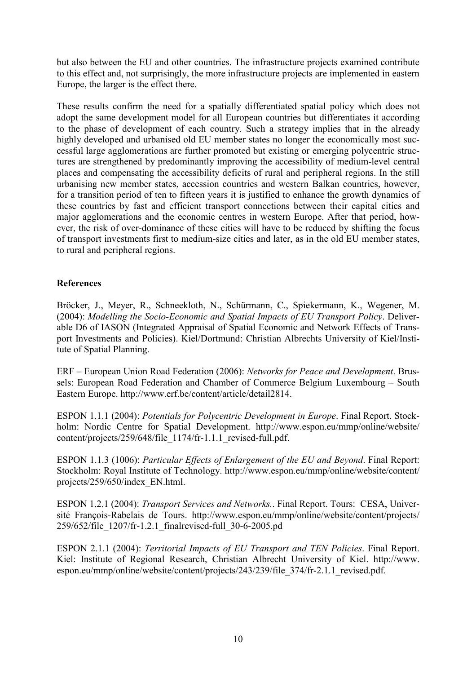but also between the EU and other countries. The infrastructure projects examined contribute to this effect and, not surprisingly, the more infrastructure projects are implemented in eastern Europe, the larger is the effect there.

These results confirm the need for a spatially differentiated spatial policy which does not adopt the same development model for all European countries but differentiates it according to the phase of development of each country. Such a strategy implies that in the already highly developed and urbanised old EU member states no longer the economically most successful large agglomerations are further promoted but existing or emerging polycentric structures are strengthened by predominantly improving the accessibility of medium-level central places and compensating the accessibility deficits of rural and peripheral regions. In the still urbanising new member states, accession countries and western Balkan countries, however, for a transition period of ten to fifteen years it is justified to enhance the growth dynamics of these countries by fast and efficient transport connections between their capital cities and major agglomerations and the economic centres in western Europe. After that period, however, the risk of over-dominance of these cities will have to be reduced by shifting the focus of transport investments first to medium-size cities and later, as in the old EU member states, to rural and peripheral regions.

### **References**

Bröcker, J., Meyer, R., Schneekloth, N., Schürmann, C., Spiekermann, K., Wegener, M. (2004): *Modelling the Socio-Economic and Spatial Impacts of EU Transport Policy*. Deliverable D6 of IASON (Integrated Appraisal of Spatial Economic and Network Effects of Transport Investments and Policies). Kiel/Dortmund: Christian Albrechts University of Kiel/Institute of Spatial Planning.

ERF – European Union Road Federation (2006): *Networks for Peace and Development*. Brussels: European Road Federation and Chamber of Commerce Belgium Luxembourg – South Eastern Europe. http://www.erf.be/content/article/detail2814.

ESPON 1.1.1 (2004): *Potentials for Polycentric Development in Europe*. Final Report. Stockholm: Nordic Centre for Spatial Development. http://www.espon.eu/mmp/online/website/ content/projects/259/648/file\_1174/fr-1.1.1\_revised-full.pdf.

ESPON 1.1.3 (1006): *Particular Effects of Enlargement of the EU and Beyond*. Final Report: Stockholm: Royal Institute of Technology. http://www.espon.eu/mmp/online/website/content/ projects/259/650/index\_EN.html.

ESPON 1.2.1 (2004): *Transport Services and Networks.*. Final Report. Tours: CESA, Université François-Rabelais de Tours. http://www.espon.eu/mmp/online/website/content/projects/ 259/652/file\_1207/fr-1.2.1\_finalrevised-full\_30-6-2005.pd

ESPON 2.1.1 (2004): *Territorial Impacts of EU Transport and TEN Policies*. Final Report. Kiel: Institute of Regional Research, Christian Albrecht University of Kiel. http://www. espon.eu/mmp/online/website/content/projects/243/239/file\_374/fr-2.1.1\_revised.pdf.